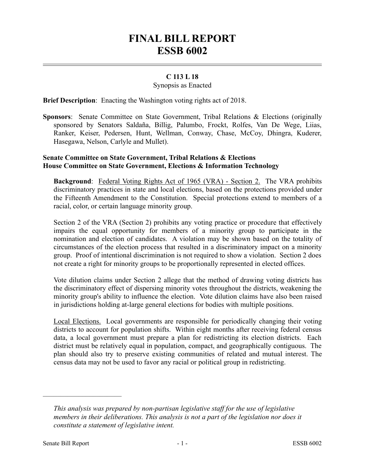# **FINAL BILL REPORT ESSB 6002**

## **C 113 L 18**

#### Synopsis as Enacted

**Brief Description**: Enacting the Washington voting rights act of 2018.

**Sponsors**: Senate Committee on State Government, Tribal Relations & Elections (originally sponsored by Senators Saldaña, Billig, Palumbo, Frockt, Rolfes, Van De Wege, Liias, Ranker, Keiser, Pedersen, Hunt, Wellman, Conway, Chase, McCoy, Dhingra, Kuderer, Hasegawa, Nelson, Carlyle and Mullet).

### **Senate Committee on State Government, Tribal Relations & Elections House Committee on State Government, Elections & Information Technology**

**Background:** Federal Voting Rights Act of 1965 (VRA) - Section 2. The VRA prohibits discriminatory practices in state and local elections, based on the protections provided under the Fifteenth Amendment to the Constitution. Special protections extend to members of a racial, color, or certain language minority group.

Section 2 of the VRA (Section 2) prohibits any voting practice or procedure that effectively impairs the equal opportunity for members of a minority group to participate in the nomination and election of candidates. A violation may be shown based on the totality of circumstances of the election process that resulted in a discriminatory impact on a minority group. Proof of intentional discrimination is not required to show a violation. Section 2 does not create a right for minority groups to be proportionally represented in elected offices.

Vote dilution claims under Section 2 allege that the method of drawing voting districts has the discriminatory effect of dispersing minority votes throughout the districts, weakening the minority group's ability to influence the election. Vote dilution claims have also been raised in jurisdictions holding at-large general elections for bodies with multiple positions.

Local Elections. Local governments are responsible for periodically changing their voting districts to account for population shifts. Within eight months after receiving federal census data, a local government must prepare a plan for redistricting its election districts. Each district must be relatively equal in population, compact, and geographically contiguous. The plan should also try to preserve existing communities of related and mutual interest. The census data may not be used to favor any racial or political group in redistricting.

––––––––––––––––––––––

*This analysis was prepared by non-partisan legislative staff for the use of legislative members in their deliberations. This analysis is not a part of the legislation nor does it constitute a statement of legislative intent.*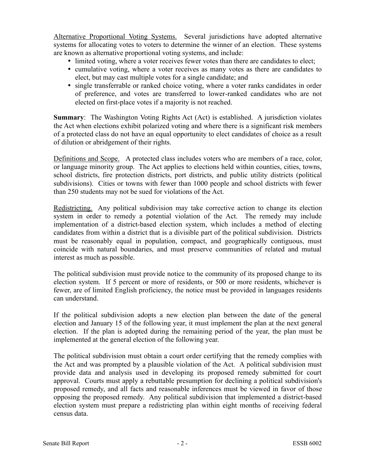Alternative Proportional Voting Systems. Several jurisdictions have adopted alternative systems for allocating votes to voters to determine the winner of an election. These systems are known as alternative proportional voting systems, and include:

- limited voting, where a voter receives fewer votes than there are candidates to elect;
- cumulative voting, where a voter receives as many votes as there are candidates to elect, but may cast multiple votes for a single candidate; and
- single transferrable or ranked choice voting, where a voter ranks candidates in order of preference, and votes are transferred to lower-ranked candidates who are not elected on first-place votes if a majority is not reached.

**Summary**: The Washington Voting Rights Act (Act) is established. A jurisdiction violates the Act when elections exhibit polarized voting and where there is a significant risk members of a protected class do not have an equal opportunity to elect candidates of choice as a result of dilution or abridgement of their rights.

Definitions and Scope. A protected class includes voters who are members of a race, color, or language minority group. The Act applies to elections held within counties, cities, towns, school districts, fire protection districts, port districts, and public utility districts (political subdivisions). Cities or towns with fewer than 1000 people and school districts with fewer than 250 students may not be sued for violations of the Act.

Redistricting. Any political subdivision may take corrective action to change its election system in order to remedy a potential violation of the Act. The remedy may include implementation of a district-based election system, which includes a method of electing candidates from within a district that is a divisible part of the political subdivision. Districts must be reasonably equal in population, compact, and geographically contiguous, must coincide with natural boundaries, and must preserve communities of related and mutual interest as much as possible.

The political subdivision must provide notice to the community of its proposed change to its election system. If 5 percent or more of residents, or 500 or more residents, whichever is fewer, are of limited English proficiency, the notice must be provided in languages residents can understand.

If the political subdivision adopts a new election plan between the date of the general election and January 15 of the following year, it must implement the plan at the next general election. If the plan is adopted during the remaining period of the year, the plan must be implemented at the general election of the following year.

The political subdivision must obtain a court order certifying that the remedy complies with the Act and was prompted by a plausible violation of the Act. A political subdivision must provide data and analysis used in developing its proposed remedy submitted for court approval. Courts must apply a rebuttable presumption for declining a political subdivision's proposed remedy, and all facts and reasonable inferences must be viewed in favor of those opposing the proposed remedy. Any political subdivision that implemented a district-based election system must prepare a redistricting plan within eight months of receiving federal census data.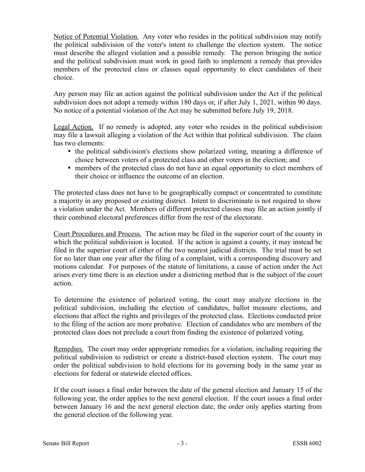Notice of Potential Violation. Any voter who resides in the political subdivision may notify the political subdivision of the voter's intent to challenge the election system. The notice must describe the alleged violation and a possible remedy. The person bringing the notice and the political subdivision must work in good faith to implement a remedy that provides members of the protected class or classes equal opportunity to elect candidates of their choice.

Any person may file an action against the political subdivision under the Act if the political subdivision does not adopt a remedy within 180 days or, if after July 1, 2021, within 90 days. No notice of a potential violation of the Act may be submitted before July 19, 2018.

Legal Action. If no remedy is adopted, any voter who resides in the political subdivision may file a lawsuit alleging a violation of the Act within that political subdivision. The claim has two elements:

- the political subdivision's elections show polarized voting, meaning a difference of choice between voters of a protected class and other voters in the election; and
- members of the protected class do not have an equal opportunity to elect members of their choice or influence the outcome of an election.

The protected class does not have to be geographically compact or concentrated to constitute a majority in any proposed or existing district. Intent to discriminate is not required to show a violation under the Act. Members of different protected classes may file an action jointly if their combined electoral preferences differ from the rest of the electorate.

Court Procedures and Process. The action may be filed in the superior court of the county in which the political subdivision is located. If the action is against a county, it may instead be filed in the superior court of either of the two nearest judicial districts. The trial must be set for no later than one year after the filing of a complaint, with a corresponding discovery and motions calendar. For purposes of the statute of limitations, a cause of action under the Act arises every time there is an election under a districting method that is the subject of the court action.

To determine the existence of polarized voting, the court may analyze elections in the political subdivision, including the election of candidates, ballot measure elections, and elections that affect the rights and privileges of the protected class. Elections conducted prior to the filing of the action are more probative. Election of candidates who are members of the protected class does not preclude a court from finding the existence of polarized voting.

Remedies. The court may order appropriate remedies for a violation, including requiring the political subdivision to redistrict or create a district-based election system. The court may order the political subdivision to hold elections for its governing body in the same year as elections for federal or statewide elected offices.

If the court issues a final order between the date of the general election and January 15 of the following year, the order applies to the next general election. If the court issues a final order between January 16 and the next general election date, the order only applies starting from the general election of the following year.